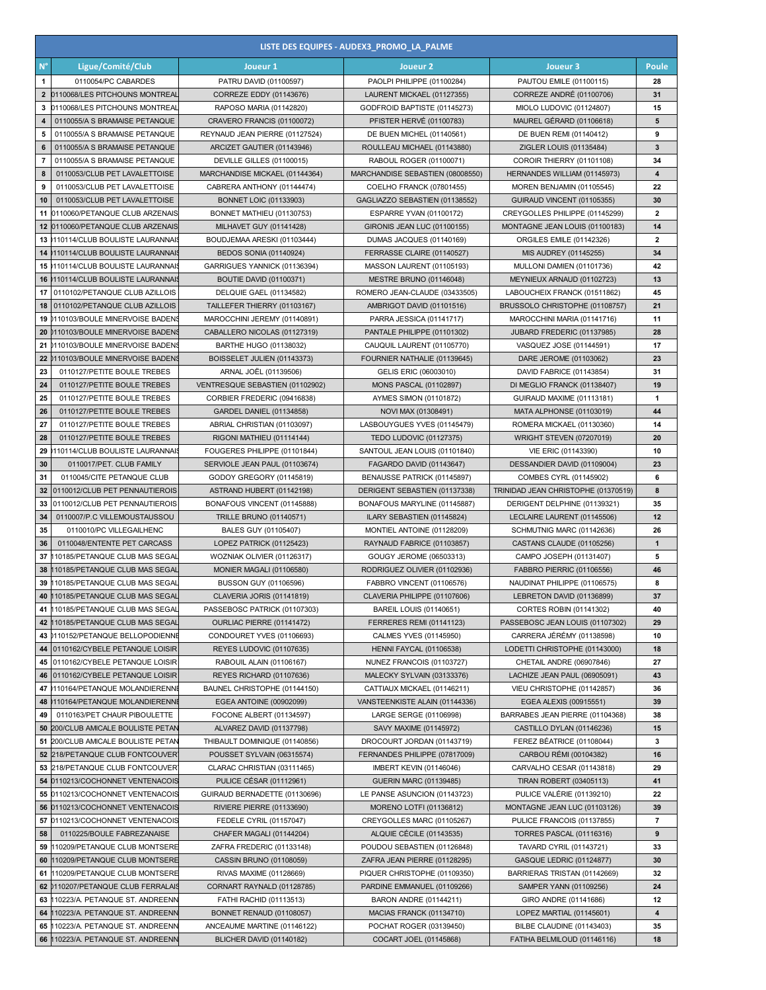| LISTE DES EQUIPES - AUDEX3_PROMO_LA_PALME |                                                                  |                                                             |                                                                 |                                                                 |                |  |  |
|-------------------------------------------|------------------------------------------------------------------|-------------------------------------------------------------|-----------------------------------------------------------------|-----------------------------------------------------------------|----------------|--|--|
| $N^{\circ}$                               | Ligue/Comité/Club                                                | Joueur 1                                                    | Joueur <sub>2</sub>                                             | Joueur 3                                                        | Poule          |  |  |
| -1                                        | 0110054/PC CABARDES                                              | PATRU DAVID (01100597)                                      | PAOLPI PHILIPPE (01100284)                                      | PAUTOU EMILE (01100115)                                         | 28             |  |  |
| $\mathbf{2}$                              | 0110068/LES PITCHOUNS MONTREAL                                   | CORREZE EDDY (01143676)                                     | LAURENT MICKAEL (01127355)                                      | CORREZE ANDRÉ (01100706)                                        | 31             |  |  |
| 3                                         | 0110068/LES PITCHOUNS MONTREAI                                   | RAPOSO MARIA (01142820)                                     | GODFROID BAPTISTE (01145273)                                    | MIOLO LUDOVIC (01124807)                                        | 15             |  |  |
| 4                                         | 0110055/A S BRAMAISE PETANQUE                                    | CRAVERO FRANCIS (01100072)                                  | PFISTER HERVÉ (01100783)                                        | MAUREL GÉRARD (01106618)                                        | 5              |  |  |
| 5                                         | 0110055/A S BRAMAISE PETANQUE                                    | REYNAUD JEAN PIERRE (01127524)                              | DE BUEN MICHEL (01140561)                                       | DE BUEN REMI (01140412)                                         | 9              |  |  |
| 6                                         | 0110055/A S BRAMAISE PETANQUE                                    | ARCIZET GAUTIER (01143946)                                  | ROULLEAU MICHAEL (01143880)                                     | ZIGLER LOUIS (01135484)                                         | 3              |  |  |
| $\overline{7}$                            | 0110055/A S BRAMAISE PETANQUE                                    | DEVILLE GILLES (01100015)                                   | RABOUL ROGER (01100071)                                         | COROIR THIERRY (01101108)                                       | 34             |  |  |
| 8                                         | 0110053/CLUB PET LAVALETTOISE                                    | MARCHANDISE MICKAEL (01144364)                              | MARCHANDISE SEBASTIEN (08008550)                                | HERNANDES WILLIAM (01145973)                                    | 4              |  |  |
| 9                                         | 0110053/CLUB PET LAVALETTOISE<br>0110053/CLUB PET LAVALETTOISE   | CABRERA ANTHONY (01144474)<br><b>BONNET LOIC (01133903)</b> | COELHO FRANCK (07801455)                                        | MOREN BENJAMIN (01105545)                                       | 22<br>30       |  |  |
| 10                                        | 11 0110060/PETANQUE CLUB ARZENAIS                                | BONNET MATHIEU (01130753)                                   | GAGLIAZZO SEBASTIEN (01138552)<br>ESPARRE YVAN (01100172)       | GUIRAUD VINCENT (01105355)<br>CREYGOLLES PHILIPPE (01145299)    | $\overline{2}$ |  |  |
| 12                                        | 0110060/PETANQUE CLUB ARZENAIS                                   | MILHAVET GUY (01141428)                                     | GIRONIS JEAN LUC (01100155)                                     | MONTAGNE JEAN LOUIS (01100183)                                  | 14             |  |  |
|                                           | 13 0110114/CLUB BOULISTE LAURANNAI                               | BOUDJEMAA ARESKI (01103444)                                 | DUMAS JACQUES (01140169)                                        | ORGILES EMILE (01142326)                                        | $\mathbf{2}$   |  |  |
|                                           | 14 0110114/CLUB BOULISTE LAURANNAI                               | <b>BEDOS SONIA (01140924)</b>                               | FERRASSE CLAIRE (01140527)                                      | MIS AUDREY (01145255)                                           | 34             |  |  |
|                                           | 15 0110114/CLUB BOULISTE LAURANNAI                               | GARRIGUES YANNICK (01136394)                                | MASSON LAURENT (01105193)                                       | MULLONI DAMIEN (01101736)                                       | 42             |  |  |
| 16                                        | 110114/CLUB BOULISTE LAURANNAIS                                  | <b>BOUTIE DAVID (01100371)</b>                              | <b>MESTRE BRUNO (01146048)</b>                                  | MEYNIEUX ARNAUD (01102723)                                      | 13             |  |  |
| 17                                        | 0110102/PETANQUE CLUB AZILLOIS                                   | <b>DELQUIE GAEL (01134582)</b>                              | ROMERO JEAN-CLAUDE (03433505)                                   | LABOUCHEIX FRANCK (01511862)                                    | 45             |  |  |
| 18                                        | 0110102/PETANQUE CLUB AZILLOIS                                   | TAILLEFER THIERRY (01103167)                                | AMBRIGOT DAVID (01101516)                                       | BRUSSOLO CHRISTOPHE (01108757)                                  | 21             |  |  |
| 19                                        | 0110103/BOULE MINERVOISE BADEN                                   | MAROCCHINI JEREMY (01140891)                                | PARRA JESSICA (01141717)                                        | MAROCCHINI MARIA (01141716)                                     | 11             |  |  |
| 20                                        | 0110103/BOULE MINERVOISE BADEN                                   | CABALLERO NICOLAS (01127319)                                | PANTALE PHILIPPE (01101302)                                     | JUBARD FREDERIC (01137985)                                      | 28             |  |  |
| 21                                        | 0110103/BOULE MINERVOISE BADEN                                   | BARTHE HUGO (01138032)                                      | CAUQUIL LAURENT (01105770)                                      | VASQUEZ JOSE (01144591)                                         | 17             |  |  |
| 22                                        | 0110103/BOULE MINERVOISE BADENS                                  | BOISSELET JULIEN (01143373)                                 | FOURNIER NATHALIE (01139645)                                    | DARE JEROME (01103062)                                          | 23             |  |  |
| 23                                        | 0110127/PETITE BOULE TREBES                                      | ARNAL JOËL (01139506)                                       | GELIS ERIC (06003010)                                           | DAVID FABRICE (01143854)                                        | 31             |  |  |
| 24                                        | 0110127/PETITE BOULE TREBES                                      | VENTRESQUE SEBASTIEN (01102902)                             | <b>MONS PASCAL (01102897)</b>                                   | DI MEGLIO FRANCK (01138407)                                     | 19             |  |  |
| 25                                        | 0110127/PETITE BOULE TREBES                                      | CORBIER FREDERIC (09416838)                                 | <b>AYMES SIMON (01101872)</b>                                   | GUIRAUD MAXIME (01113181)                                       | 1              |  |  |
| 26                                        | 0110127/PETITE BOULE TREBES                                      | GARDEL DANIEL (01134858)                                    | NOVI MAX (01308491)                                             | MATA ALPHONSE (01103019)                                        | 44             |  |  |
| 27                                        | 0110127/PETITE BOULE TREBES                                      | ABRIAL CHRISTIAN (01103097)                                 | LASBOUYGUES YVES (01145479)                                     | ROMERA MICKAEL (01130360)                                       | 14             |  |  |
| 28<br>29                                  | 0110127/PETITE BOULE TREBES<br>110114/CLUB BOULISTE LAURANNAI    | RIGONI MATHIEU (01114144)<br>FOUGERES PHILIPPE (01101844)   | <b>TEDO LUDOVIC (01127375)</b><br>SANTOUL JEAN LOUIS (01101840) | <b>WRIGHT STEVEN (07207019)</b><br>VIE ERIC (01143390)          | 20<br>10       |  |  |
| 30                                        | 0110017/PET. CLUB FAMILY                                         | SERVIOLE JEAN PAUL (01103674)                               | FAGARDO DAVID (01143647)                                        | DESSANDIER DAVID (01109004)                                     | 23             |  |  |
| 31                                        | 0110045/CITE PETANQUE CLUB                                       | GODOY GREGORY (01145819)                                    | BENAUSSE PATRICK (01145897)                                     | COMBES CYRL (01145902)                                          | 6              |  |  |
| 32                                        | 0110012/CLUB PET PENNAUTIEROIS                                   | ASTRAND HUBERT (01142198)                                   | DERIGENT SEBASTIEN (01137338)                                   | TRINIDAD JEAN CHRISTOPHE (01370519)                             | 8              |  |  |
| 33                                        | 0110012/CLUB PET PENNAUTIEROIS                                   | BONAFOUS VINCENT (01145888)                                 | BONAFOUS MARYLINE (01145887)                                    | DERIGENT DELPHINE (01139321)                                    | 35             |  |  |
| 34                                        | 0110007/P.C VILLEMOUSTAUSSOU                                     | <b>TRILLE BRUNO (01140571)</b>                              | ILARY SEBASTIEN (01145824)                                      | LECLAIRE LAURENT (01145506)                                     | 12             |  |  |
| 35                                        | 0110010/PC VILLEGAILHENC                                         | BALES GUY (01105407)                                        | MONTIEL ANTOINE (01128209)                                      | SCHMUTNIG MARC (01142636)                                       | 26             |  |  |
| 36                                        | 0110048/ENTENTE PET CARCASS                                      | LOPEZ PATRICK (01125423)                                    | RAYNAUD FABRICE (01103857)                                      | CASTANS CLAUDE (01105256)                                       | $\mathbf{1}$   |  |  |
| 37                                        | 10185/PETANQUE CLUB MAS SEGAL                                    | WOZNIAK OLIVIER (01126317)                                  | GOUGY JEROME (06503313)                                         | CAMPO JOSEPH (01131407)                                         | 5              |  |  |
| 38                                        | 110185/PETANQUE CLUB MAS SEGAL                                   | <b>MONIER MAGALI (01106580)</b>                             | RODRIGUEZ OLIVIER (01102936)                                    | FABBRO PIERRIC (01106556)                                       | 46             |  |  |
| 39                                        | 110185/PETANQUE CLUB MAS SEGAL                                   | BUSSON GUY (01106596)                                       | FABBRO VINCENT (01106576)                                       | NAUDINAT PHILIPPE (01106575)                                    | 8              |  |  |
| 40                                        | 110185/PETANQUE CLUB MAS SEGAL                                   | CLAVERIA JORIS (01141819)                                   | CLAVERIA PHILIPPE (01107606)                                    | LEBRETON DAVID (01136899)                                       | 37             |  |  |
| 41                                        | 110185/PETANQUE CLUB MAS SEGAL                                   | PASSEBOSC PATRICK (01107303)                                | <b>BAREIL LOUIS (01140651)</b>                                  | CORTES ROBIN (01141302)                                         | 40             |  |  |
| 42                                        | 10185/PETANQUE CLUB MAS SEGAL                                    | OURLIAC PIERRE (01141472)                                   | FERRERES REMI (01141123)                                        | PASSEBOSC JEAN LOUIS (01107302)                                 | 29             |  |  |
| 43                                        | 0110152/PETANQUE BELLOPODIENNI                                   | CONDOURET YVES (01106693)                                   | CALMES YVES (01145950)                                          | CARRERA JÉRÉMY (01138598)                                       | 10             |  |  |
| 44                                        | 0110162/CYBELE PETANQUE LOISIR<br>0110162/CYBELE PETANQUE LOISIR | REYES LUDOVIC (01107635)                                    | <b>HENNI FAYCAL (01106538)</b><br>NUNEZ FRANCOIS (01103727)     | LODETTI CHRISTOPHE (01143000)                                   | 18             |  |  |
| 45<br>46                                  | 0110162/CYBELE PETANQUE LOISIR                                   | RABOUIL ALAIN (01106167)<br>REYES RICHARD (01107636)        | MALECKY SYLVAIN (03133376)                                      | CHETAIL ANDRE (06907846)<br>LACHIZE JEAN PAUL (06905091)        | 27<br>43       |  |  |
| 47                                        | 110164/PETANQUE MOLANDIERENN                                     | BAUNEL CHRISTOPHE (01144150)                                | CATTIAUX MICKAEL (01146211)                                     | VIEU CHRISTOPHE (01142857)                                      | 36             |  |  |
| 48                                        | 110164/PETANQUE MOLANDIERENNI                                    | EGEA ANTOINE (00902099)                                     | VANSTEENKISTE ALAIN (01144336)                                  | EGEA ALEXIS (00915551)                                          | 39             |  |  |
| 49                                        | 0110163/PET CHAUR PIBOULETTE                                     | FOCONE ALBERT (01134597)                                    | LARGE SERGE (01106998)                                          | BARRABES JEAN PIERRE (01104368)                                 | 38             |  |  |
| 50                                        | 200/CLUB AMICALE BOULISTE PETAN                                  | ALVAREZ DAVID (01137798)                                    | SAVY MAXIME (01145972)                                          | CASTILLO DYLAN (01146236)                                       | 15             |  |  |
| 51                                        | 200/CLUB AMICALE BOULISTE PETAN                                  | THIBAULT DOMINIQUE (01140856)                               | DROCOURT JORDAN (01143719)                                      | FEREZ BÉATRICE (01108044)                                       | 3              |  |  |
| 52                                        | 218/PETANQUE CLUB FONTCOUVER                                     | POUSSET SYLVAIN (06315574)                                  | FERNANDES PHILIPPE (07817009)                                   | CARBOU RÉMI (00104382)                                          | 16             |  |  |
| 53                                        | 218/PETANQUE CLUB FONTCOUVER                                     | CLARAC CHRISTIAN (03111465)                                 | IMBERT KEVIN (01146046)                                         | CARVALHO CESAR (01143818)                                       | 29             |  |  |
|                                           | 54 0110213/COCHONNET VENTENACOIS                                 | PULICE CÉSAR (01112961)                                     | <b>GUERIN MARC (01139485)</b>                                   | <b>TIRAN ROBERT (03405113)</b>                                  | 41             |  |  |
|                                           | 55 0110213/COCHONNET VENTENACOIS                                 | GUIRAUD BERNADETTE (01130696)                               | LE PANSE ASUNCION (01143723)                                    | PULICE VALÉRIE (01139210)                                       | 22             |  |  |
| 56                                        | 0110213/COCHONNET VENTENACOIS                                    | RIVIERE PIERRE (01133690)                                   | MORENO LOTFI (01136812)                                         | MONTAGNE JEAN LUC (01103126)                                    | 39             |  |  |
| 57                                        | 0110213/COCHONNET VENTENACOIS                                    | FEDELE CYRIL (01157047)                                     | CREYGOLLES MARC (01105267)                                      | PULICE FRANCOIS (01137855)                                      | 7              |  |  |
| 58                                        | 0110225/BOULE FABREZANAISE                                       | CHAFER MAGALI (01144204)                                    | ALQUIE CECILE (01143535)                                        | TORRES PASCAL (01116316)                                        | 9              |  |  |
| 59                                        | 10209/PETANQUE CLUB MONTSERE                                     | ZAFRA FREDERIC (01133148)                                   | POUDOU SEBASTIEN (01126848)                                     | <b>TAVARD CYRIL (01143721)</b>                                  | 33             |  |  |
| 60<br>61                                  | 110209/PETANQUE CLUB MONTSERE<br>110209/PETANQUE CLUB MONTSERE   | CASSIN BRUNO (01108059)<br>RIVAS MAXIME (01128669)          | ZAFRA JEAN PIERRE (01128295)<br>PIQUER CHRISTOPHE (01109350)    | <b>GASQUE LEDRIC (01124877)</b><br>BARRIERAS TRISTAN (01142669) | 30<br>32       |  |  |
| 62                                        | 0110207/PETANQUE CLUB FERRALAIS                                  | CORNART RAYNALD (01128785)                                  | PARDINE EMMANUEL (01109266)                                     | SAMPER YANN (01109256)                                          | 24             |  |  |
| 63                                        | 110223/A. PETANQUE ST. ANDREENN                                  | FATHI RACHID (01113513)                                     | <b>BARON ANDRE (01144211)</b>                                   | GIRO ANDRE (01141686)                                           | 12             |  |  |
| 64                                        | 110223/A. PETANQUE ST. ANDREENN                                  | BONNET RENAUD (01108057)                                    | MACIAS FRANCK (01134710)                                        | LOPEZ MARTIAL (01145601)                                        | 4              |  |  |
| 65                                        | 110223/A. PETANQUE ST. ANDREENN                                  | ANCEAUME MARTINE (01146122)                                 | POCHAT ROGER (03139450)                                         | BILBE CLAUDINE (01143403)                                       | 35             |  |  |
|                                           | 66 10223/A. PETANQUE ST. ANDREENN                                | BLICHER DAVID (01140182)                                    | COCART JOEL (01145868)                                          | FATIHA BELMILOUD (01146116)                                     | 18             |  |  |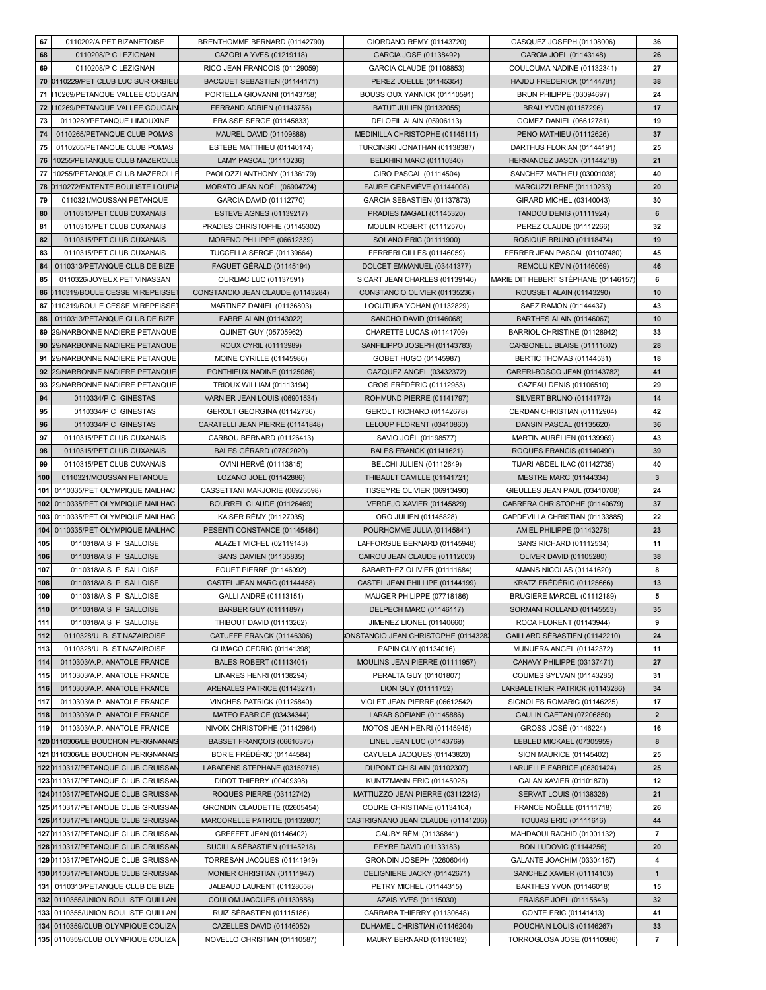| 67  | 0110202/A PET BIZANETOISE          | BRENTHOMME BERNARD (01142790)     | GIORDANO REMY (01143720)            | GASQUEZ JOSEPH (01108006)            | 36           |
|-----|------------------------------------|-----------------------------------|-------------------------------------|--------------------------------------|--------------|
| 68  | 0110208/P C LEZIGNAN               | CAZORLA YVES (01219118)           | GARCIA JOSE (01138492)              | GARCIA JOEL (01143148)               | 26           |
| 69  | 0110208/P C LEZIGNAN               | RICO JEAN FRANCOIS (01129059)     | GARCIA CLAUDE (01108853)            | COULOUMA NADINE (01132341)           | 27           |
| 70  | 0110229/PET CLUB LUC SUR ORBIEL    | BACQUET SEBASTIEN (01144171)      | PEREZ JOELLE (01145354)             | HAJDU FREDERICK (01144781)           | 38           |
| 71  | 10269/PETANQUE VALLEE COUGAIN      | PORTELLA GIOVANNI (01143758)      | BOUSSIOUX YANNICK (01110591)        | <b>BRUN PHILIPPE (03094697)</b>      | 24           |
| 72  | 10269/PETANQUE VALLEE COUGAIN      | FERRAND ADRIEN (01143756)         | <b>BATUT JULIEN (01132055)</b>      | BRAU YVON (01157296)                 | 17           |
| 73  | 0110280/PETANQUE LIMOUXINE         |                                   |                                     |                                      | 19           |
|     |                                    | FRAISSE SERGE (01145833)          | DELOEIL ALAIN (05906113)            | GOMEZ DANIEL (06612781)              |              |
| 74  | 0110265/PETANQUE CLUB POMAS        | MAUREL DAVID (01109888)           | MEDINILLA CHRISTOPHE (01145111)     | PENO MATHIEU (01112626)              | 37           |
| 75  | 0110265/PETANQUE CLUB POMAS        | ESTEBE MATTHIEU (01140174)        | TURCINSKI JONATHAN (01138387)       | DARTHUS FLORIAN (01144191)           | 25           |
| 76  | 10255/PETANQUE CLUB MAZEROLLE      | LAMY PASCAL (01110236)            | <b>BELKHIRI MARC (01110340)</b>     | HERNANDEZ JASON (01144218)           | 21           |
| 77  | 10255/PETANQUE CLUB MAZEROLLE      | PAOLOZZI ANTHONY (01136179)       | GIRO PASCAL (01114504)              | SANCHEZ MATHIEU (03001038)           | 40           |
| 78  | 0110272/ENTENTE BOULISTE LOUPIA    | MORATO JEAN NOËL (06904724)       | FAURE GENEVIÈVE (01144008)          | MARCUZZI RENÉ (01110233)             | 20           |
| 79  | 0110321/MOUSSAN PETANQUE           | GARCIA DAVID (01112770)           | GARCIA SEBASTIEN (01137873)         | GIRARD MICHEL (03140043)             | 30           |
| 80  | 0110315/PET CLUB CUXANAIS          | <b>ESTEVE AGNES (01139217)</b>    | PRADIES MAGALI (01145320)           | <b>TANDOU DENIS (01111924)</b>       | 6            |
| 81  | 0110315/PET CLUB CUXANAIS          | PRADIES CHRISTOPHE (01145302)     | MOULIN ROBERT (01112570)            | PEREZ CLAUDE (01112266)              | 32           |
| 82  | 0110315/PET CLUB CUXANAIS          | MORENO PHILIPPE (06612339)        | SOLANO ERIC (01111900)              | ROSIQUE BRUNO (01118474)             | 19           |
|     |                                    |                                   |                                     |                                      |              |
| 83  | 0110315/PET CLUB CUXANAIS          | TUCCELLA SERGE (01139664)         | FERRERI GILLES (01146059)           | FERRER JEAN PASCAL (01107480)        | 45           |
| 84  | 0110313/PETANQUE CLUB DE BIZE      | FAGUET GÉRALD (01145194)          | DOLCET EMMANUEL (03441377)          | REMOLU KÉVIN (01146069)              | 46           |
| 85  | 0110326/JOYEUX PET VINASSAN        | OURLIAC LUC (01137591)            | SICART JEAN CHARLES (01139146)      | MARIE DIT HEBERT STÉPHANE (01146157) | 6            |
| 86  | 0110319/BOULE CESSE MIREPEISSE     | CONSTANCIO JEAN CLAUDE (01143284) | CONSTANCIO OLIVIER (01135236)       | <b>ROUSSET ALAIN (01143290)</b>      | 10           |
| 87  | 0110319/BOULE CESSE MIREPEISSE     | MARTINEZ DANIEL (01136803)        | LOCUTURA YOHAN (01132829)           | SAEZ RAMON (01144437)                | 43           |
| 88  | 0110313/PETANQUE CLUB DE BIZE      | FABRE ALAIN (01143022)            | SANCHO DAVID (01146068)             | BARTHES ALAIN (01146067)             | 10           |
| 89  | 29/NARBONNE NADIERE PETANQUE       | QUINET GUY (05705962)             | CHARETTE LUCAS (01141709)           | BARRIOL CHRISTINE (01128942)         | 33           |
| 90  | 29/NARBONNE NADIERE PETANQUE       | ROUX CYRIL (01113989)             | SANFILIPPO JOSEPH (01143783)        | CARBONELL BLAISE (01111602)          | 28           |
|     |                                    |                                   |                                     |                                      |              |
| 91  | 29/NARBONNE NADIERE PETANQUE       | <b>MOINE CYRILLE (01145986)</b>   | GOBET HUGO (01145987)               | <b>BERTIC THOMAS (01144531)</b>      | 18           |
| 92  | 29/NARBONNE NADIERE PETANQUE       | PONTHIEUX NADINE (01125086)       | GAZQUEZ ANGEL (03432372)            | CARERI-BOSCO JEAN (01143782)         | 41           |
| 93  | 29/NARBONNE NADIERE PETANQUE       | TRIOUX WILLIAM (01113194)         | CROS FRÉDÉRIC (01112953)            | CAZEAU DENIS (01106510)              | 29           |
| 94  | 0110334/P C GINESTAS               | VARNIER JEAN LOUIS (06901534)     | ROHMUND PIERRE (01141797)           | SILVERT BRUNO (01141772)             | 14           |
| 95  | 0110334/P C GINESTAS               | GEROLT GEORGINA (01142736)        | GEROLT RICHARD (01142678)           | CERDAN CHRISTIAN (01112904)          | 42           |
| 96  | 0110334/P C GINESTAS               | CARATELLI JEAN PIERRE (01141848)  | LELOUP FLORENT (03410860)           | DANSIN PASCAL (01135620)             | 36           |
| 97  | 0110315/PET CLUB CUXANAIS          | CARBOU BERNARD (01126413)         | SAVIO JOËL (01198577)               | MARTIN AURÉLIEN (01139969)           | 43           |
| 98  | 0110315/PET CLUB CUXANAIS          | <b>BALES GÉRARD (07802020)</b>    | <b>BALES FRANCK (01141621)</b>      | ROQUES FRANCIS (01140490)            | 39           |
| 99  | 0110315/PET CLUB CUXANAIS          | OVINI HERVÉ (01113815)            | BELCHI JULIEN (01112649)            | TIJARI ABDEL ILAC (01142735)         | 40           |
| 100 | 0110321/MOUSSAN PETANQUE           | LOZANO JOEL (01142886)            | THIBAULT CAMILLE (01141721)         | MESTRE MARC (01144334)               | 3            |
|     |                                    |                                   |                                     |                                      |              |
| 101 | 0110335/PET OLYMPIQUE MAILHAC      | CASSETTANI MARJORIE (06923598)    | TISSEYRE OLIVIER (06913490)         | GIEULLES JEAN PAUL (03410708)        | 24           |
|     |                                    |                                   |                                     |                                      |              |
| 102 | 0110335/PET OLYMPIQUE MAILHAC      | BOURREL CLAUDE (01126469)         | VERDEJO XAVIER (01145829)           | CABRERA CHRISTOPHE (01140679)        | 37           |
| 103 | 0110335/PET OLYMPIQUE MAILHAC      | KAISER RÉMY (01127035)            | ORO JULIEN (01145828)               | CAPDEVILLA CHRISTIAN (01133885)      | 22           |
| 104 | 0110335/PET OLYMPIQUE MAILHAC      | PESENTI CONSTANCE (01145484)      | POURHOMME JULIA (01145841)          | AMIEL PHILIPPE (01143278)            | 23           |
| 105 | 0110318/AS P SALLOISE              | ALAZET MICHEL (02119143)          | LAFFORGUE BERNARD (01145948)        | SANS RICHARD (01112534)              | 11           |
| 106 | 0110318/AS P SALLOISE              | SANS DAMIEN (01135835)            | CAIROU JEAN CLAUDE (01112003)       | OLIVER DAVID (01105280)              | 38           |
| 107 | 0110318/AS P SALLOISE              | FOUET PIERRE (01146092)           | SABARTHEZ OLIVIER (01111684)        | AMANS NICOLAS (01141620)             | 8            |
|     |                                    |                                   |                                     |                                      |              |
| 108 | 0110318/AS P SALLOISE              | CASTEL JEAN MARC (01144458)       | CASTEL JEAN PHILLIPE (01144199)     | KRATZ FRÉDÉRIC (01125666)            | 13           |
| 109 | 0110318/AS P SALLOISE              | GALLI ANDRÉ (01113151)            | MAUGER PHILIPPE (07718186)          | BRUGIERE MARCEL (01112189)           | 5            |
| 110 | 0110318/AS P SALLOISE              | BARBER GUY (01111897)             | DELPECH MARC (01146117)             | SORMANI ROLLAND (01145553)           | 35           |
| 111 | 0110318/AS P SALLOISE              | THIBOUT DAVID (01113262)          | JIMENEZ LIONEL (01140660)           | ROCA FLORENT (01143944)              | 9            |
| 112 | 0110328/U. B. ST NAZAIROISE        | CATUFFE FRANCK (01146306)         | ONSTANCIO JEAN CHRISTOPHE (0114328) | GAILLARD SÉBASTIEN (01142210)        | 24           |
| 113 | 0110328/U. B. ST NAZAIROISE        | CLIMACO CEDRIC (01141398)         | PAPIN GUY (01134016)                | MUNUERA ANGEL (01142372)             | 11           |
| 114 | 0110303/A.P. ANATOLE FRANCE        | BALES ROBERT (01113401)           | MOULINS JEAN PIERRE (01111957)      | CANAVY PHILIPPE (03137471)           | 27           |
| 115 | 0110303/A.P. ANATOLE FRANCE        | LINARES HENRI (01138294)          | PERALTA GUY (01101807)              | COUMES SYLVAIN (01143285)            | 31           |
| 116 | 0110303/A.P. ANATOLE FRANCE        | ARENALES PATRICE (01143271)       | LION GUY (01111752)                 | LARBALETRIER PATRICK (01143286)      | 34           |
| 117 | 0110303/A.P. ANATOLE FRANCE        | VINCHES PATRICK (01125840)        | VIOLET JEAN PIERRE (06612542)       | SIGNOLES ROMARIC (01146225)          | 17           |
|     | 0110303/A.P. ANATOLE FRANCE        |                                   |                                     |                                      |              |
| 118 |                                    | MATEO FABRICE (03434344)          | LARAB SOFIANE (01145886)            | <b>GAULIN GAETAN (07206850)</b>      | $\mathbf{2}$ |
| 119 | 0110303/A.P. ANATOLE FRANCE        | NIVOIX CHRISTOPHE (01142984)      | MOTOS JEAN HENRI (01145945)         | GROSS JOSÉ (01146224)                | 16           |
|     | 120 0110306/LE BOUCHON PERIGNANAIS | BASSET FRANÇOIS (06616375)        | LINEL JEAN LUC (01143769)           | LEBLED MICKAEL (07305959)            | 8            |
|     | 121 0110306/LE BOUCHON PERIGNANAIS | BORIE FRÉDÉRIC (01144584)         | CAYUELA JACQUES (01143820)          | SION MAURICE (01145402)              | 25           |
|     | 1220110317/PETANQUE CLUB GRUISSAN  | LABADENS STEPHANE (03159715)      | DUPONT GHISLAIN (01102307)          | LARUELLE FABRICE (06301424)          | 25           |
|     | 123 0110317/PETANQUE CLUB GRUISSAN | DIDOT THIERRY (00409398)          | KUNTZMANN ERIC (01145025)           | GALAN XAVIER (01101870)              | 12           |
|     | 124 0110317/PETANQUE CLUB GRUISSAN | ROQUES PIERRE (03112742)          | MATTIUZZO JEAN PIERRE (03112242)    | <b>SERVAT LOUIS (01138326)</b>       | 21           |
|     | 1250110317/PETANQUE CLUB GRUISSAN  | GRONDIN CLAUDETTE (02605454)      | COURE CHRISTIANE (01134104)         | <b>FRANCE NOËLLE (01111718)</b>      | 26           |
|     | 126 0110317/PETANQUE CLUB GRUISSAN | MARCORELLE PATRICE (01132807)     | CASTRIGNANO JEAN CLAUDE (01141206)  | TOUJAS ERIC (01111616)               | 44           |
|     | 127 0110317/PETANQUE CLUB GRUISSAN | GREFFET JEAN (01146402)           | GAUBY RÉMI (01136841)               | MAHDAOUI RACHID (01001132)           | 7            |
|     | 128 0110317/PETANQUE CLUB GRUISSAN | SUCILLA SÉBASTIEN (01145218)      | PEYRE DAVID (01133183)              | <b>BON LUDOVIC (01144256)</b>        | 20           |
|     |                                    |                                   |                                     |                                      |              |
|     | 129 0110317/PETANQUE CLUB GRUISSAN | TORRESAN JACQUES (01141949)       | GRONDIN JOSEPH (02606044)           | GALANTE JOACHIM (03304167)           | 4            |
|     | 130 0110317/PETANQUE CLUB GRUISSAN | MONIER CHRISTIAN (01111947)       | DELIGNIERE JACKY (01142671)         | SANCHEZ XAVIER (01114103)            | $\mathbf{1}$ |
| 131 | 0110313/PETANQUE CLUB DE BIZE      | JALBAUD LAURENT (01128658)        | PETRY MICHEL (01144315)             | BARTHES YVON (01146018)              | 15           |
|     | 132 0110355/UNION BOULISTE QUILLAN | COULOM JACQUES (01130888)         | AZAIS YVES (01115030)               | FRAISSE JOEL (01115643)              | 32           |
| 133 | 0110355/UNION BOULISTE QUILLAN     | RUIZ SÉBASTIEN (01115186)         | CARRARA THIERRY (01130648)          | CONTE ERIC (01141413)                | 41           |
|     | 134 0110359/CLUB OLYMPIQUE COUIZA  | CAZELLES DAVID (01146052)         | DUHAMEL CHRISTIAN (01146204)        | POUCHAIN LOUIS (01146267)            | 33           |